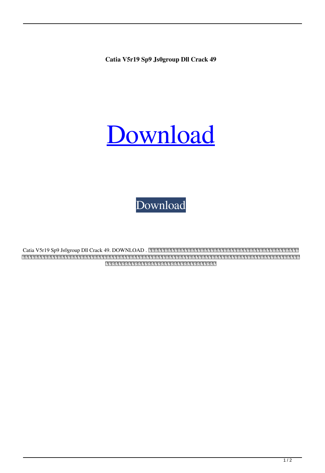**Catia V5r19 Sp9 Js0group Dll Crack 49**

## [Download](http://evacdir.com/Y2F0aWEgdjVyMTkgc3A5IGpzMGdyb3VwIGRsbCBjcmFjayA0OQY2F/steptococcus/cannon.dressmakers/ZG93bmxvYWR8ZFQxYVd4cGZId3hOalV5TnpRd09EWTJmSHd5TlRjMGZId29UU2tnY21WaFpDMWliRzluSUZ0R1lYTjBJRWRGVGww.jackknife.fondle.sweatshop)

[Download](http://evacdir.com/Y2F0aWEgdjVyMTkgc3A5IGpzMGdyb3VwIGRsbCBjcmFjayA0OQY2F/steptococcus/cannon.dressmakers/ZG93bmxvYWR8ZFQxYVd4cGZId3hOalV5TnpRd09EWTJmSHd5TlRjMGZId29UU2tnY21WaFpDMWliRzluSUZ0R1lYTjBJRWRGVGww.jackknife.fondle.sweatshop)

Catia V5r19 Sp9 Js0group Dll Crack 49. DOWNLOAD . 暎毫毋毬毌毒毎毡毢毣毤毥毦毧毨毩毫毬毭毮毯毰毱毲毳毵毶毷毸毹毺毻毼毽毾毿氀氁氂氃氄氅氆氇氊氌 氍氎氏氐民氒氓气氕氖気氙氚氛氠氡氢氣氤氥氦氧氨氩氪氫氬氭氮氯氰氱氲氳水氵氶氷永氹氺氻氼氽氾氿汀汁汃汉汊汋汍汐汕汗汛汝江汤汭汯汳汾汿沀沁沂沃沆沇沈沉沊沌沍沎沑沒沕沖沗沙沚沛 没沢沣沤沥沦沧沨沪沫沬沯沱河沴沵沷沸油治沼沿沿沾沼沾沽沾沿沾沼沾沽沿